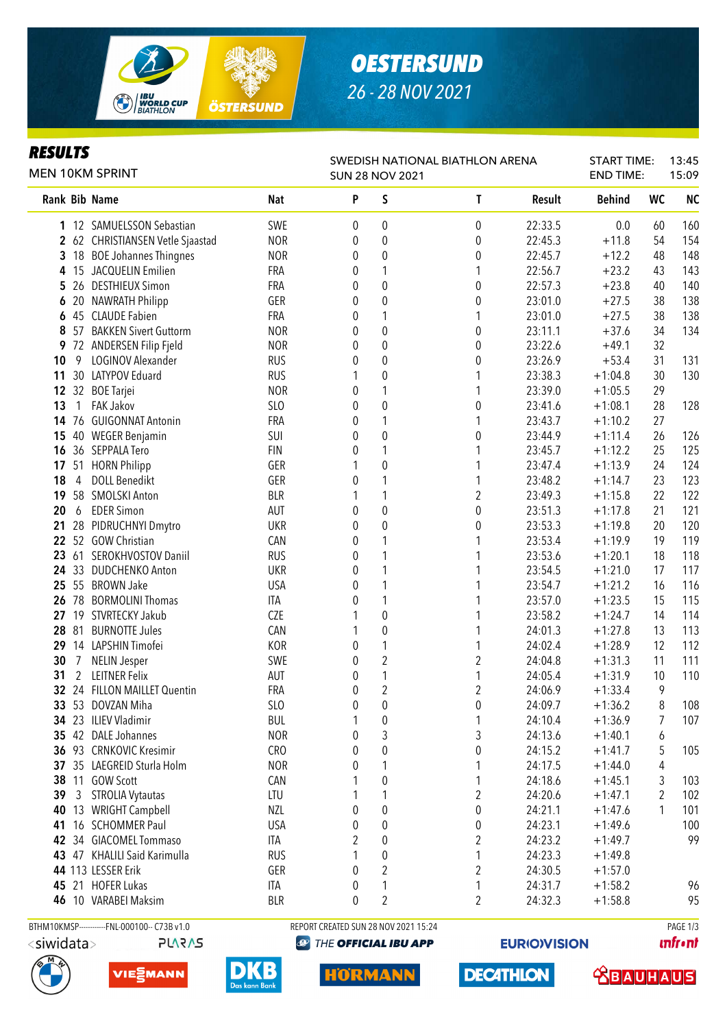

# *OESTERSUND 26 - 28 NOV 2021*

#### *RESULTS*

| <b>MEN 10KM SPRINT</b> |                |                                              |            | SWEDISH NATIONAL BIATHLON ARENA<br><b>SUN 28 NOV 2021</b> |                                      |                  |         |               | <b>START TIME:</b><br><b>END TIME:</b> | 13:45<br>15:09 |  |
|------------------------|----------------|----------------------------------------------|------------|-----------------------------------------------------------|--------------------------------------|------------------|---------|---------------|----------------------------------------|----------------|--|
|                        |                | Rank Bib Name                                | <b>Nat</b> | P                                                         | S                                    | T                | Result  | <b>Behind</b> | <b>WC</b>                              | <b>NC</b>      |  |
|                        |                | 1 12 SAMUELSSON Sebastian                    | SWE        | 0                                                         | 0                                    | $\boldsymbol{0}$ | 22:33.5 | 0.0           | 60                                     | 160            |  |
|                        |                | 2 62 CHRISTIANSEN Vetle Sjaastad             | <b>NOR</b> | 0                                                         | $\pmb{0}$                            | $\mathbf 0$      | 22:45.3 | $+11.8$       | 54                                     | 154            |  |
| 3                      |                | 18 BOE Johannes Thingnes                     | <b>NOR</b> | 0                                                         | $\boldsymbol{0}$                     | $\mathbf 0$      | 22:45.7 | $+12.2$       | 48                                     | 148            |  |
| 4                      |                | 15 JACQUELIN Emilien                         | FRA        | 0                                                         | 1                                    |                  | 22:56.7 | $+23.2$       | 43                                     | 143            |  |
| 5                      |                | 26 DESTHIEUX Simon                           | FRA        | 0                                                         | $\boldsymbol{0}$                     | $\mathbf 0$      | 22:57.3 | $+23.8$       | 40                                     | 140            |  |
| 6                      |                | 20 NAWRATH Philipp                           | GER        | 0                                                         | $\boldsymbol{0}$                     | $\mathbf 0$      | 23:01.0 | $+27.5$       | 38                                     | 138            |  |
| 6                      |                | 45 CLAUDE Fabien                             | FRA        | 0                                                         | 1                                    | 1                | 23:01.0 | $+27.5$       | 38                                     | 138            |  |
| 8                      |                | 57 BAKKEN Sivert Guttorm                     | <b>NOR</b> | 0                                                         | $\boldsymbol{0}$                     | $\mathbf 0$      | 23:11.1 | $+37.6$       | 34                                     | 134            |  |
| 9                      |                | 72 ANDERSEN Filip Fjeld                      | <b>NOR</b> | 0                                                         | $\boldsymbol{0}$                     | $\mathbf 0$      | 23:22.6 | $+49.1$       | 32                                     |                |  |
| 10                     | 9              | LOGINOV Alexander                            | <b>RUS</b> | 0                                                         | $\boldsymbol{0}$                     | $\pmb{0}$        | 23:26.9 | $+53.4$       | 31                                     | 131            |  |
| 11                     |                | 30 LATYPOV Eduard                            | <b>RUS</b> | 1                                                         | $\boldsymbol{0}$                     | 1                | 23:38.3 | $+1:04.8$     | 30                                     | 130            |  |
| 12                     |                | 32 BOE Tarjei                                | <b>NOR</b> | 0                                                         | 1                                    | 1                | 23:39.0 | $+1:05.5$     | 29                                     |                |  |
| 13                     | $\mathbf{1}$   | <b>FAK Jakov</b>                             | SLO        | 0                                                         | $\boldsymbol{0}$                     | $\boldsymbol{0}$ | 23:41.6 | $+1:08.1$     | 28                                     | 128            |  |
| 14                     |                | 76 GUIGONNAT Antonin                         | FRA        | 0                                                         | 1                                    | 1                | 23:43.7 | $+1:10.2$     | 27                                     |                |  |
| 15                     |                | 40 WEGER Benjamin                            | SUI        | 0                                                         | $\boldsymbol{0}$                     | $\boldsymbol{0}$ | 23:44.9 | $+1:11.4$     | 26                                     | 126            |  |
| 16                     |                | 36 SEPPALA Tero                              | <b>FIN</b> | 0                                                         | 1                                    | 1                | 23:45.7 | $+1:12.2$     | 25                                     | 125            |  |
| 17                     |                | 51 HORN Philipp                              | GER        |                                                           | $\mathbf 0$                          | 1                | 23:47.4 | $+1:13.9$     | 24                                     | 124            |  |
| 18                     | $\overline{4}$ | <b>DOLL Benedikt</b>                         | GER        | 0                                                         | 1                                    | 1                | 23:48.2 | $+1:14.7$     | 23                                     | 123            |  |
| 19                     |                | 58 SMOLSKI Anton                             | <b>BLR</b> | 1                                                         | 1                                    | $\overline{2}$   | 23:49.3 | $+1:15.8$     | 22                                     | 122            |  |
| 20                     | 6              | <b>EDER Simon</b>                            | AUT        | 0                                                         | $\boldsymbol{0}$                     | $\boldsymbol{0}$ | 23:51.3 | $+1:17.8$     | 21                                     | 121            |  |
| 21                     |                | 28 PIDRUCHNYI Dmytro                         | <b>UKR</b> | 0                                                         | $\boldsymbol{0}$                     | $\boldsymbol{0}$ | 23:53.3 | $+1:19.8$     | 20                                     | 120            |  |
|                        |                | 22 52 GOW Christian                          | CAN        | 0                                                         | 1                                    | 1                | 23:53.4 | $+1:19.9$     | 19                                     | 119            |  |
| 23                     |                | 61 SEROKHVOSTOV Daniil                       | <b>RUS</b> | 0                                                         | 1                                    | 1                | 23:53.6 | $+1:20.1$     | 18                                     | 118            |  |
|                        |                | 24 33 DUDCHENKO Anton                        | <b>UKR</b> | 0                                                         | 1                                    |                  | 23:54.5 | $+1:21.0$     | 17                                     | 117            |  |
| 25                     |                | 55 BROWN Jake                                | <b>USA</b> | 0                                                         | 1                                    |                  | 23:54.7 | $+1:21.2$     | 16                                     | 116            |  |
| 26                     |                | 78 BORMOLINI Thomas                          | <b>ITA</b> | 0                                                         | 1                                    |                  | 23:57.0 | $+1:23.5$     | 15                                     | 115            |  |
| 27                     |                | 19 STVRTECKY Jakub                           | CZE        | 1                                                         | $\boldsymbol{0}$                     | 1                | 23:58.2 | $+1:24.7$     | 14                                     | 114            |  |
| 28                     | 81             | <b>BURNOTTE Jules</b>                        | CAN        | 1                                                         | $\boldsymbol{0}$                     | 1                | 24:01.3 | $+1:27.8$     | 13                                     | 113            |  |
| 29                     |                | 14 LAPSHIN Timofei                           | KOR        | 0                                                         | 1                                    | 1                | 24:02.4 | $+1:28.9$     | 12                                     | 112            |  |
| 30                     | $\overline{7}$ | <b>NELIN Jesper</b>                          | SWE        | 0                                                         | $\overline{c}$                       | 2                | 24:04.8 | $+1:31.3$     | 11                                     | 111            |  |
| 31                     | 2              | <b>LEITNER Felix</b>                         | <b>AUT</b> | 0                                                         | $\mathbf{1}$                         | 1                | 24:05.4 | $+1:31.9$     | 10                                     | 110            |  |
|                        |                | 32 24 FILLON MAILLET Quentin                 | FRA        | 0                                                         | $\overline{c}$                       | 2                | 24:06.9 | $+1:33.4$     | 9                                      |                |  |
|                        |                | 33 53 DOVZAN Miha                            | SLO        | 0                                                         | $\boldsymbol{0}$                     | $\pmb{0}$        | 24:09.7 | $+1:36.2$     | 8                                      | 108            |  |
|                        |                | 34 23 ILIEV Vladimir                         | <b>BUL</b> | 1                                                         | 0                                    | 1                | 24:10.4 | $+1:36.9$     | 7                                      | 107            |  |
|                        |                | 35 42 DALE Johannes                          | <b>NOR</b> | 0                                                         | 3                                    | 3                | 24:13.6 | $+1:40.1$     | 6                                      |                |  |
| 36                     |                | 93 CRNKOVIC Kresimir                         | <b>CRO</b> | 0                                                         | $\boldsymbol{0}$                     | $\boldsymbol{0}$ | 24:15.2 | $+1:41.7$     | 5                                      | 105            |  |
| 37                     |                | 35 LAEGREID Sturla Holm                      | <b>NOR</b> | 0                                                         | 1                                    | 1                | 24:17.5 | $+1:44.0$     | 4                                      |                |  |
| 38                     |                | 11 GOW Scott                                 | CAN        |                                                           | $\pmb{0}$                            | 1                | 24:18.6 | $+1:45.1$     | 3                                      | 103            |  |
| 39                     | $\mathbf{3}$   | <b>STROLIA Vytautas</b>                      | LTU        |                                                           | 1                                    | 2                | 24:20.6 | $+1:47.1$     | 2                                      | 102            |  |
| 40                     |                | 13 WRIGHT Campbell                           | NZL        | 0                                                         | $\boldsymbol{0}$                     | $\boldsymbol{0}$ | 24:21.1 | $+1:47.6$     | 1                                      | 101            |  |
| 41                     |                | 16 SCHOMMER Paul                             | <b>USA</b> | 0                                                         | $\boldsymbol{0}$                     | $\pmb{0}$        | 24:23.1 | $+1:49.6$     |                                        | 100            |  |
|                        |                | 42 34 GIACOMEL Tommaso                       | ITA        | 2                                                         | $\pmb{0}$                            | 2                | 24:23.2 | $+1:49.7$     |                                        | 99             |  |
|                        |                | 43 47 KHALILI Said Karimulla                 | <b>RUS</b> | 1                                                         | $\pmb{0}$                            | 1                | 24:23.3 | $+1:49.8$     |                                        |                |  |
|                        |                | 44 113 LESSER Erik                           | GER        | 0                                                         | $\boldsymbol{2}$                     | 2                | 24:30.5 | $+1:57.0$     |                                        |                |  |
|                        |                | 45 21 HOFER Lukas                            | ITA        | 0                                                         | 1                                    | 1                | 24:31.7 | $+1:58.2$     |                                        | 96             |  |
|                        |                | 46 10 VARABEI Maksim                         | <b>BLR</b> | 0                                                         | $\overline{2}$                       | 2                | 24:32.3 | $+1:58.8$     |                                        | 95             |  |
|                        |                |                                              |            |                                                           |                                      |                  |         |               |                                        |                |  |
|                        |                | BTHM10KMSP------------FNL-000100-- C73B v1.0 |            |                                                           | REPORT CREATED SUN 28 NOV 2021 15:24 |                  |         |               |                                        | PAGE 1/3       |  |



THE OFFICIAL IBU APP

**unfront** 







**HORMANN** 

**DECATHLON** 

**EURIO)VISION** 

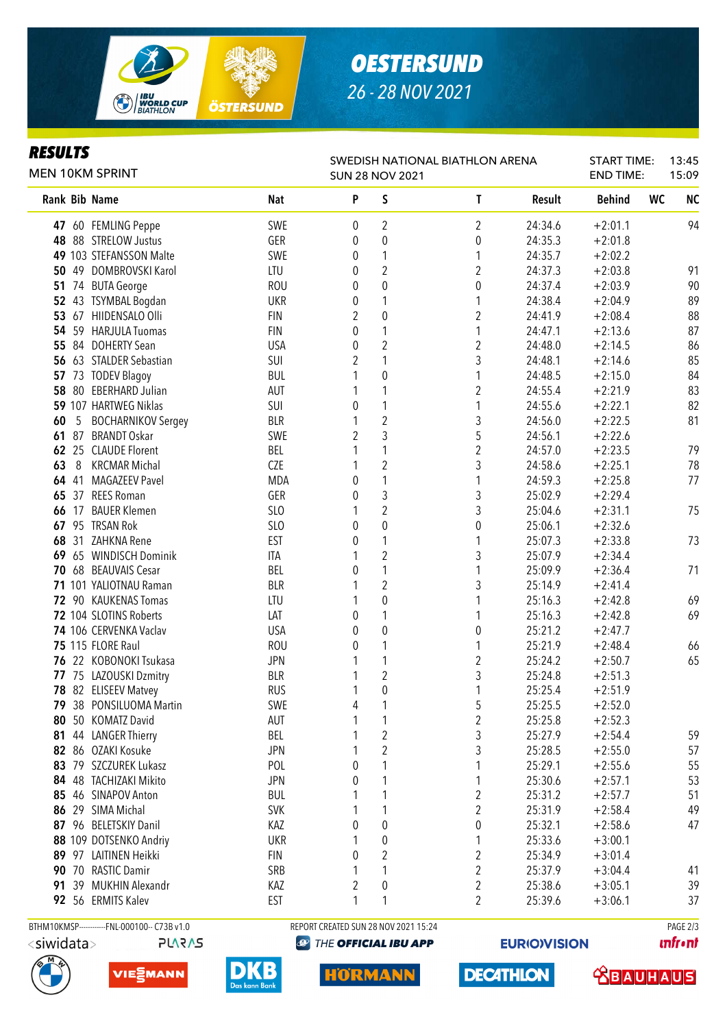

# *OESTERSUND 26 - 28 NOV 2021*

#### *RESULTS*

| KEYULIY<br><b>MEN 10KM SPRINT</b> |                                              | SWEDISH NATIONAL BIATHLON ARENA<br><b>SUN 28 NOV 2021</b> |                |                                      |                         |         | <b>START TIME:</b><br>13:45<br><b>END TIME:</b><br>15:09 |                        |
|-----------------------------------|----------------------------------------------|-----------------------------------------------------------|----------------|--------------------------------------|-------------------------|---------|----------------------------------------------------------|------------------------|
| Rank Bib Name                     |                                              | <b>Nat</b>                                                | P              | $\sf S$                              | T                       | Result  | <b>Behind</b>                                            | <b>WC</b><br><b>NC</b> |
|                                   | 47 60 FEMLING Peppe                          | SWE                                                       | 0              | $\overline{2}$                       | $\overline{2}$          | 24:34.6 | $+2:01.1$                                                | 94                     |
|                                   | 48 88 STRELOW Justus                         | GER                                                       | 0              | $\pmb{0}$                            | 0                       | 24:35.3 | $+2:01.8$                                                |                        |
|                                   | 49 103 STEFANSSON Malte                      | SWE                                                       | 0              | 1                                    | 1                       | 24:35.7 | $+2:02.2$                                                |                        |
| 50                                | 49 DOMBROVSKI Karol                          | LTU                                                       | 0              | $\overline{2}$                       | $\overline{2}$          | 24:37.3 | $+2:03.8$                                                | 91                     |
|                                   | 51 74 BUTA George                            | <b>ROU</b>                                                | 0              | $\pmb{0}$                            | $\pmb{0}$               | 24:37.4 | $+2:03.9$                                                | 90                     |
|                                   | 52 43 TSYMBAL Bogdan                         | <b>UKR</b>                                                | 0              | 1                                    | 1                       | 24:38.4 | $+2:04.9$                                                | 89                     |
|                                   | 53 67 HIIDENSALO Olli                        | <b>FIN</b>                                                | 2              | $\pmb{0}$                            | 2                       | 24:41.9 | $+2:08.4$                                                | 88                     |
|                                   | 54 59 HARJULA Tuomas                         | <b>FIN</b>                                                | 0              | 1                                    | 1                       | 24:47.1 | $+2:13.6$                                                | 87                     |
| 55                                | 84 DOHERTY Sean                              | <b>USA</b>                                                | 0              | $\overline{2}$                       | $\overline{2}$          | 24:48.0 | $+2:14.5$                                                | 86                     |
|                                   | 56 63 STALDER Sebastian                      | SUI                                                       | 2              | 1                                    | 3                       | 24:48.1 | $+2:14.6$                                                | 85                     |
| 57                                | 73 TODEV Blagoy                              | <b>BUL</b>                                                | 1              | $\pmb{0}$                            | 1                       | 24:48.5 | $+2:15.0$                                                | 84                     |
| 58                                | 80 EBERHARD Julian                           | AUT                                                       | 1              | 1                                    | 2                       | 24:55.4 | $+2:21.9$                                                | 83                     |
|                                   | 59 107 HARTWEG Niklas                        | SUI                                                       | 0              | 1                                    | 1                       | 24:55.6 | $+2:22.1$                                                | 82                     |
| 60<br>5                           | <b>BOCHARNIKOV Sergey</b>                    | <b>BLR</b>                                                | 1              | $\overline{\mathbf{c}}$              | 3                       | 24:56.0 | $+2:22.5$                                                | 81                     |
| 61                                | 87 BRANDT Oskar                              | SWE                                                       | 2              | 3                                    | 5                       | 24:56.1 | $+2:22.6$                                                |                        |
|                                   | 62 25 CLAUDE Florent                         | BEL                                                       |                | 1                                    | $\overline{\mathbf{c}}$ | 24:57.0 | $+2:23.5$                                                | 79                     |
| 63<br>8                           | <b>KRCMAR Michal</b>                         | CZE                                                       | 1              | $\overline{c}$                       | 3                       | 24:58.6 | $+2:25.1$                                                | 78                     |
| 64                                | 41 MAGAZEEV Pavel                            | <b>MDA</b>                                                | 0              | $\mathbf{1}$                         | 1                       | 24:59.3 | $+2:25.8$                                                | 77                     |
| 65                                | 37 REES Roman                                | GER                                                       | 0              | 3                                    | 3                       | 25:02.9 | $+2:29.4$                                                |                        |
| 66                                | 17 BAUER Klemen                              | SLO                                                       | 1              | $\overline{c}$                       | 3                       | 25:04.6 | $+2:31.1$                                                | 75                     |
| 67                                | 95 TRSAN Rok                                 | SLO                                                       | 0              | $\pmb{0}$                            | $\pmb{0}$               | 25:06.1 | $+2:32.6$                                                |                        |
| 68                                | 31 ZAHKNA Rene                               | <b>EST</b>                                                | 0              | 1                                    | 1                       | 25:07.3 | $+2:33.8$                                                | 73                     |
| 69                                | 65 WINDISCH Dominik                          | ITA                                                       | 1              | $\overline{2}$                       | 3                       | 25:07.9 | $+2:34.4$                                                |                        |
| 70                                | 68 BEAUVAIS Cesar                            | <b>BEL</b>                                                | 0              | $\mathbf{1}$                         | 1                       | 25:09.9 | $+2:36.4$                                                | 71                     |
|                                   | 71 101 YALIOTNAU Raman                       | <b>BLR</b>                                                |                | $\overline{2}$                       | 3                       | 25:14.9 | $+2:41.4$                                                |                        |
|                                   | 72 90 KAUKENAS Tomas                         | LTU                                                       | 1              | $\pmb{0}$                            | 1                       | 25:16.3 | $+2:42.8$                                                | 69                     |
|                                   | 72 104 SLOTINS Roberts                       | LAT                                                       | 0              | 1                                    | 1                       | 25:16.3 | $+2:42.8$                                                | 69                     |
|                                   | 74 106 CERVENKA Vaclav                       | <b>USA</b>                                                | 0              | $\pmb{0}$                            | $\boldsymbol{0}$        | 25:21.2 | $+2:47.7$                                                |                        |
|                                   | <b>75 115 FLORE Raul</b>                     | <b>ROU</b>                                                | 0              | 1                                    | 1                       | 25:21.9 | $+2:48.4$                                                | 66                     |
|                                   | 76 22 KOBONOKI Tsukasa                       | <b>JPN</b>                                                | 1              | 1                                    | $\overline{2}$          | 25:24.2 | $+2:50.7$                                                | 65                     |
|                                   | 77 75 LAZOUSKI Dzmitry                       | <b>BLR</b>                                                | 1              | $\boldsymbol{2}$                     | 3                       | 25:24.8 | $+2:51.3$                                                |                        |
|                                   | 78 82 ELISEEV Matvey                         | <b>RUS</b>                                                | 1              | 0                                    | 1                       | 25:25.4 | $+2:51.9$                                                |                        |
| 79                                | 38 PONSILUOMA Martin                         | SWE                                                       | 4              | 1                                    | 5                       | 25:25.5 | $+2:52.0$                                                |                        |
| 80                                | 50 KOMATZ David                              | AUT                                                       | 1              | 1                                    | $\overline{c}$          | 25:25.8 | $+2:52.3$                                                |                        |
|                                   | 81 44 LANGER Thierry                         | BEL                                                       |                | $\overline{\mathbf{c}}$              | 3                       | 25:27.9 | $+2:54.4$                                                | 59                     |
|                                   | 82 86 OZAKI Kosuke                           | <b>JPN</b>                                                |                | $\overline{c}$                       | 3                       | 25:28.5 | $+2:55.0$                                                | 57                     |
|                                   | 83 79 SZCZUREK Lukasz                        | POL                                                       | 0              | 1                                    |                         | 25:29.1 | $+2:55.6$                                                | 55                     |
|                                   | 84 48 TACHIZAKI Mikito                       | <b>JPN</b>                                                | 0              | 1                                    | 1                       | 25:30.6 | $+2:57.1$                                                | 53                     |
| 85                                | 46 SINAPOV Anton                             | <b>BUL</b>                                                |                | 1                                    | 2                       | 25:31.2 | $+2:57.7$                                                | 51                     |
|                                   | 86 29 SIMA Michal                            | <b>SVK</b>                                                |                |                                      | $\overline{\mathbf{c}}$ | 25:31.9 | $+2:58.4$                                                | 49                     |
|                                   | 87 96 BELETSKIY Danil                        | KAZ                                                       | 0              | 0                                    | 0                       | 25:32.1 | $+2:58.6$                                                | 47                     |
|                                   | 88 109 DOTSENKO Andriy                       | <b>UKR</b>                                                |                | $\boldsymbol{0}$                     | 1                       | 25:33.6 | $+3:00.1$                                                |                        |
|                                   | 89 97 LAITINEN Heikki                        | <b>FIN</b>                                                | 0              | $\boldsymbol{2}$                     | 2                       | 25:34.9 | $+3:01.4$                                                |                        |
|                                   | 90 70 RASTIC Damir                           | SRB                                                       | 1              | 1                                    | 2                       | 25:37.9 | $+3:04.4$                                                | 41                     |
|                                   | 91 39 MUKHIN Alexandr                        | KAZ                                                       | $\overline{2}$ | 0                                    | 2                       | 25:38.6 | $+3:05.1$                                                | 39                     |
|                                   | 92 56 ERMITS Kalev                           | <b>EST</b>                                                | 1              | 1                                    | $\overline{2}$          | 25:39.6 | $+3:06.1$                                                | 37                     |
|                                   | BTHM10KMSP------------FNL-000100-- C73B v1.0 |                                                           |                | REPORT CREATED SUN 28 NOV 2021 15:24 |                         |         |                                                          | PAGE 2/3               |

**PLARAS** 

**@ THE OFFICIAL IBU APP** 

**unfront** 







HORMANN

**DECATHLON** 

**EURIO)VISION** 

 **<u>CBAUHAUS</u>**